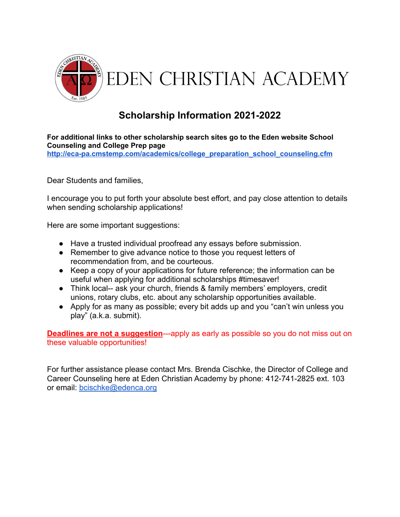

## **Scholarship Information 2021-2022**

**For additional links to other scholarship search sites go to the Eden website School Counseling and College Prep page**

**[http://eca-pa.cmstemp.com/academics/college\\_preparation\\_school\\_counseling.cfm](http://eca-pa.cmstemp.com/academics/college_preparation_school_counseling.cfm)**

Dear Students and families,

I encourage you to put forth your absolute best effort, and pay close attention to details when sending scholarship applications!

Here are some important suggestions:

- Have a trusted individual proofread any essays before submission.
- Remember to give advance notice to those you request letters of recommendation from, and be courteous.
- Keep a copy of your applications for future reference; the information can be useful when applying for additional scholarships #timesaver!
- Think local-- ask your church, friends & family members' employers, credit unions, rotary clubs, etc. about any scholarship opportunities available.
- Apply for as many as possible; every bit adds up and you "can't win unless you play" (a.k.a. submit).

**Deadlines are not a suggestion**---apply as early as possible so you do not miss out on these valuable opportunities!

For further assistance please contact Mrs. Brenda Cischke, the Director of College and Career Counseling here at Eden Christian Academy by phone: 412-741-2825 ext. 103 or email: [bcischke@edenca.org](mailto:bcischke@edenca.org)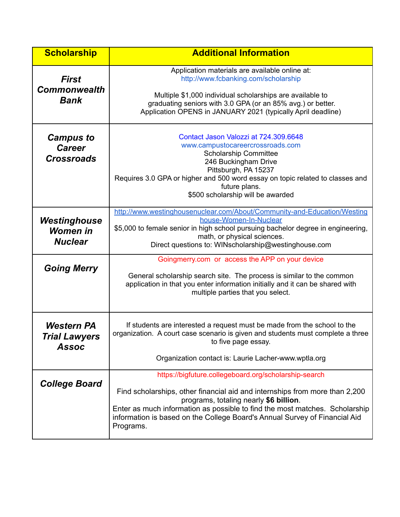| <b>Scholarship</b>                                        | <b>Additional Information</b>                                                                                                                                                                                                                                                                                                                            |
|-----------------------------------------------------------|----------------------------------------------------------------------------------------------------------------------------------------------------------------------------------------------------------------------------------------------------------------------------------------------------------------------------------------------------------|
| <b>First</b><br><b>Commonwealth</b><br><b>Bank</b>        | Application materials are available online at:<br>http://www.fcbanking.com/scholarship<br>Multiple \$1,000 individual scholarships are available to<br>graduating seniors with 3.0 GPA (or an 85% avg.) or better.                                                                                                                                       |
|                                                           | Application OPENS in JANUARY 2021 (typically April deadline)                                                                                                                                                                                                                                                                                             |
| <b>Campus to</b><br><b>Career</b><br><b>Crossroads</b>    | Contact Jason Valozzi at 724.309.6648<br>www.campustocareercrossroads.com<br><b>Scholarship Committee</b><br>246 Buckingham Drive<br>Pittsburgh, PA 15237<br>Requires 3.0 GPA or higher and 500 word essay on topic related to classes and<br>future plans.<br>\$500 scholarship will be awarded                                                         |
| Westinghouse<br><b>Women in</b><br><b>Nuclear</b>         | http://www.westinghousenuclear.com/About/Community-and-Education/Westing<br>house-Women-In-Nuclear<br>\$5,000 to female senior in high school pursuing bachelor degree in engineering,<br>math, or physical sciences.<br>Direct questions to: WINscholarship@westinghouse.com                                                                            |
| <b>Going Merry</b>                                        | Goingmerry.com or access the APP on your device<br>General scholarship search site. The process is similar to the common<br>application in that you enter information initially and it can be shared with<br>multiple parties that you select.                                                                                                           |
| <b>Western PA</b><br><b>Trial Lawyers</b><br><b>Assoc</b> | If students are interested a request must be made from the school to the<br>organization. A court case scenario is given and students must complete a three<br>to five page essay.                                                                                                                                                                       |
|                                                           | Organization contact is: Laurie Lacher-www.wptla.org                                                                                                                                                                                                                                                                                                     |
| <b>College Board</b>                                      | https://bigfuture.collegeboard.org/scholarship-search<br>Find scholarships, other financial aid and internships from more than 2,200<br>programs, totaling nearly \$6 billion.<br>Enter as much information as possible to find the most matches. Scholarship<br>information is based on the College Board's Annual Survey of Financial Aid<br>Programs. |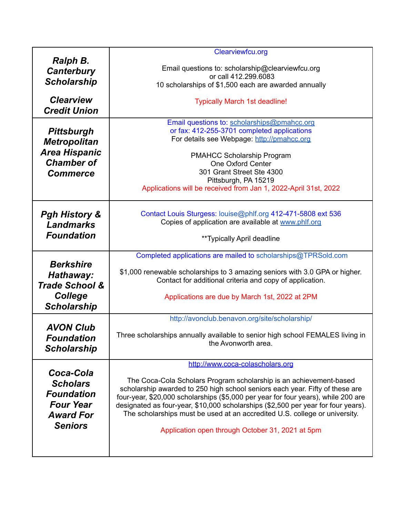|                           | Clearviewfcu.org                                                                           |
|---------------------------|--------------------------------------------------------------------------------------------|
| Ralph B.                  |                                                                                            |
| <b>Canterbury</b>         | Email questions to: scholarship@clearviewfcu.org                                           |
| <b>Scholarship</b>        | or call 412.299.6083                                                                       |
|                           | 10 scholarships of \$1,500 each are awarded annually                                       |
| <b>Clearview</b>          | <b>Typically March 1st deadline!</b>                                                       |
| <b>Credit Union</b>       |                                                                                            |
|                           |                                                                                            |
|                           | Email questions to: scholarships@pmahcc.org<br>or fax: 412-255-3701 completed applications |
| <b>Pittsburgh</b>         | For details see Webpage: http://pmahcc.org                                                 |
| <b>Metropolitan</b>       |                                                                                            |
| <b>Area Hispanic</b>      | <b>PMAHCC Scholarship Program</b>                                                          |
| <b>Chamber of</b>         | One Oxford Center                                                                          |
| <b>Commerce</b>           | 301 Grant Street Ste 4300                                                                  |
|                           | Pittsburgh, PA 15219                                                                       |
|                           | Applications will be received from Jan 1, 2022-April 31st, 2022                            |
|                           | Contact Louis Sturgess: louise@phlf.org 412-471-5808 ext 536                               |
| <b>Pgh History &amp;</b>  | Copies of application are available at www.phlf.org                                        |
| <b>Landmarks</b>          |                                                                                            |
| <b>Foundation</b>         | **Typically April deadline                                                                 |
|                           | Completed applications are mailed to scholarships@TPRSold.com                              |
| <b>Berkshire</b>          | \$1,000 renewable scholarships to 3 amazing seniors with 3.0 GPA or higher.                |
| Hathaway:                 | Contact for additional criteria and copy of application.                                   |
| <b>Trade School &amp;</b> |                                                                                            |
| <b>College</b>            | Applications are due by March 1st, 2022 at 2PM                                             |
| <b>Scholarship</b>        |                                                                                            |
|                           | http://avonclub.benavon.org/site/scholarship/                                              |
| <b>AVON Club</b>          |                                                                                            |
| Foundation                | Three scholarships annually available to senior high school FEMALES living in              |
| <b>Scholarship</b>        | the Avonworth area.                                                                        |
|                           |                                                                                            |
|                           | http://www.coca-colascholars.org                                                           |
| Coca-Cola                 | The Coca-Cola Scholars Program scholarship is an achievement-based                         |
| <b>Scholars</b>           | scholarship awarded to 250 high school seniors each year. Fifty of these are               |
| <b>Foundation</b>         | four-year, \$20,000 scholarships (\$5,000 per year for four years), while 200 are          |
| <b>Four Year</b>          | designated as four-year, \$10,000 scholarships (\$2,500 per year for four years).          |
| <b>Award For</b>          | The scholarships must be used at an accredited U.S. college or university.                 |
| <b>Seniors</b>            |                                                                                            |
|                           | Application open through October 31, 2021 at 5pm                                           |
|                           |                                                                                            |
|                           |                                                                                            |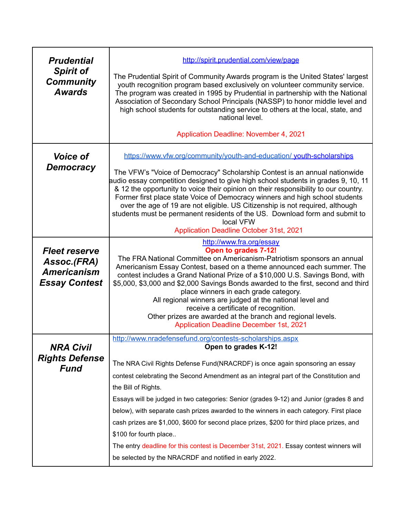| <b>Prudential</b><br><b>Spirit of</b><br><b>Community</b><br><b>Awards</b>        | http://spirit.prudential.com/view/page<br>The Prudential Spirit of Community Awards program is the United States' largest<br>youth recognition program based exclusively on volunteer community service.<br>The program was created in 1995 by Prudential in partnership with the National<br>Association of Secondary School Principals (NASSP) to honor middle level and<br>high school students for outstanding service to others at the local, state, and<br>national level.<br><b>Application Deadline: November 4, 2021</b>                                                                                                              |
|-----------------------------------------------------------------------------------|------------------------------------------------------------------------------------------------------------------------------------------------------------------------------------------------------------------------------------------------------------------------------------------------------------------------------------------------------------------------------------------------------------------------------------------------------------------------------------------------------------------------------------------------------------------------------------------------------------------------------------------------|
| <b>Voice of</b><br><b>Democracy</b>                                               | https://www.vfw.org/community/youth-and-education/ youth-scholarships<br>The VFW's "Voice of Democracy" Scholarship Contest is an annual nationwide<br>audio essay competition designed to give high school students in grades 9, 10, 11<br>& 12 the opportunity to voice their opinion on their responsibility to our country.<br>Former first place state Voice of Democracy winners and high school students<br>over the age of 19 are not eligible. US Citizenship is not required, although<br>students must be permanent residents of the US. Download form and submit to<br>local VFW<br><b>Application Deadline October 31st, 2021</b> |
| <b>Fleet reserve</b><br>Assoc.(FRA)<br><b>Americanism</b><br><b>Essay Contest</b> | http://www.fra.org/essay<br>Open to grades 7-12!<br>The FRA National Committee on Americanism-Patriotism sponsors an annual<br>Americanism Essay Contest, based on a theme announced each summer. The<br>contest includes a Grand National Prize of a \$10,000 U.S. Savings Bond, with<br>\$5,000, \$3,000 and \$2,000 Savings Bonds awarded to the first, second and third<br>place winners in each grade category.<br>All regional winners are judged at the national level and<br>receive a certificate of recognition.<br>Other prizes are awarded at the branch and regional levels.<br><b>Application Deadline December 1st, 2021</b>    |
| <b>NRA Civil</b><br><b>Rights Defense</b>                                         | http://www.nradefensefund.org/contests-scholarships.aspx<br>Open to grades K-12!                                                                                                                                                                                                                                                                                                                                                                                                                                                                                                                                                               |
| <b>Fund</b>                                                                       | The NRA Civil Rights Defense Fund(NRACRDF) is once again sponsoring an essay<br>contest celebrating the Second Amendment as an integral part of the Constitution and<br>the Bill of Rights.<br>Essays will be judged in two categories: Senior (grades 9-12) and Junior (grades 8 and<br>below), with separate cash prizes awarded to the winners in each category. First place<br>cash prizes are \$1,000, \$600 for second place prizes, \$200 for third place prizes, and                                                                                                                                                                   |
|                                                                                   | \$100 for fourth place<br>The entry deadline for this contest is December 31st, 2021. Essay contest winners will<br>be selected by the NRACRDF and notified in early 2022.                                                                                                                                                                                                                                                                                                                                                                                                                                                                     |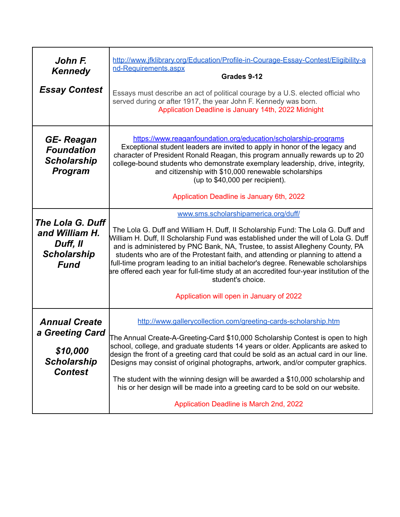| John F.<br><b>Kennedy</b><br><b>Essay Contest</b>                                           | http://www.jfklibrary.org/Education/Profile-in-Courage-Essay-Contest/Eligibility-a<br>nd-Requirements.aspx<br>Grades 9-12<br>Essays must describe an act of political courage by a U.S. elected official who<br>served during or after 1917, the year John F. Kennedy was born.<br>Application Deadline is January 14th, 2022 Midnight                                                                                                                                                                                                                                                                                             |
|---------------------------------------------------------------------------------------------|------------------------------------------------------------------------------------------------------------------------------------------------------------------------------------------------------------------------------------------------------------------------------------------------------------------------------------------------------------------------------------------------------------------------------------------------------------------------------------------------------------------------------------------------------------------------------------------------------------------------------------|
| GE-Reagan<br><b>Foundation</b><br><b>Scholarship</b><br><b>Program</b>                      | https://www.reaganfoundation.org/education/scholarship-programs<br>Exceptional student leaders are invited to apply in honor of the legacy and<br>character of President Ronald Reagan, this program annually rewards up to 20<br>college-bound students who demonstrate exemplary leadership, drive, integrity,<br>and citizenship with \$10,000 renewable scholarships<br>(up to \$40,000 per recipient).<br>Application Deadline is January 6th, 2022                                                                                                                                                                           |
| The Lola G. Duff<br>and William H.<br>Duff, II<br><b>Scholarship</b><br><b>Fund</b>         | www.sms.scholarshipamerica.org/duff/<br>The Lola G. Duff and William H. Duff, II Scholarship Fund: The Lola G. Duff and<br>William H. Duff, II Scholarship Fund was established under the will of Lola G. Duff<br>and is administered by PNC Bank, NA, Trustee, to assist Allegheny County, PA<br>students who are of the Protestant faith, and attending or planning to attend a<br>full-time program leading to an initial bachelor's degree. Renewable scholarships<br>are offered each year for full-time study at an accredited four-year institution of the<br>student's choice.<br>Application will open in January of 2022 |
| <b>Annual Create</b><br>a Greeting Card<br>\$10,000<br><b>Scholarship</b><br><b>Contest</b> | http://www.gallerycollection.com/greeting-cards-scholarship.htm<br>The Annual Create-A-Greeting-Card \$10,000 Scholarship Contest is open to high<br>school, college, and graduate students 14 years or older. Applicants are asked to<br>design the front of a greeting card that could be sold as an actual card in our line.<br>Designs may consist of original photographs, artwork, and/or computer graphics.<br>The student with the winning design will be awarded a \$10,000 scholarship and<br>his or her design will be made into a greeting card to be sold on our website.                                             |
|                                                                                             | Application Deadline is March 2nd, 2022                                                                                                                                                                                                                                                                                                                                                                                                                                                                                                                                                                                            |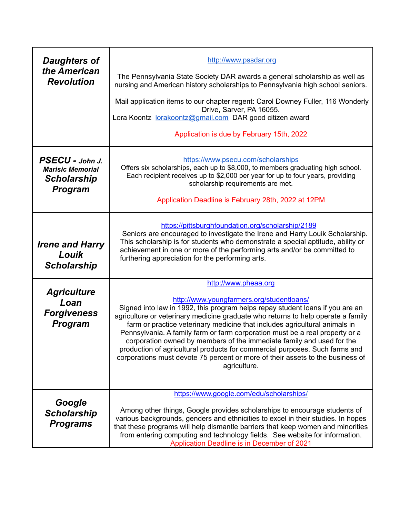| <b>Daughters of</b><br>the American<br><b>Revolution</b>                           | http://www.pssdar.org                                                                                                                                                                                                                                                                                                                                                                                                                                                                                                                                                                                                                  |
|------------------------------------------------------------------------------------|----------------------------------------------------------------------------------------------------------------------------------------------------------------------------------------------------------------------------------------------------------------------------------------------------------------------------------------------------------------------------------------------------------------------------------------------------------------------------------------------------------------------------------------------------------------------------------------------------------------------------------------|
|                                                                                    | The Pennsylvania State Society DAR awards a general scholarship as well as<br>nursing and American history scholarships to Pennsylvania high school seniors.                                                                                                                                                                                                                                                                                                                                                                                                                                                                           |
|                                                                                    | Mail application items to our chapter regent: Carol Downey Fuller, 116 Wonderly<br>Drive, Sarver, PA 16055.<br>Lora Koontz lorakoontz@gmail.com DAR good citizen award                                                                                                                                                                                                                                                                                                                                                                                                                                                                 |
|                                                                                    | Application is due by February 15th, 2022                                                                                                                                                                                                                                                                                                                                                                                                                                                                                                                                                                                              |
| PSECU - John J.<br><b>Marisic Memorial</b><br><b>Scholarship</b><br><b>Program</b> | https://www.psecu.com/scholarships<br>Offers six scholarships, each up to \$8,000, to members graduating high school.<br>Each recipient receives up to \$2,000 per year for up to four years, providing<br>scholarship requirements are met.<br>Application Deadline is February 28th, 2022 at 12PM                                                                                                                                                                                                                                                                                                                                    |
| <b>Irene and Harry</b><br>Louik<br><b>Scholarship</b>                              | https://pittsburghfoundation.org/scholarship/2189<br>Seniors are encouraged to investigate the Irene and Harry Louik Scholarship.<br>This scholarship is for students who demonstrate a special aptitude, ability or<br>achievement in one or more of the performing arts and/or be committed to<br>furthering appreciation for the performing arts.                                                                                                                                                                                                                                                                                   |
|                                                                                    | http://www.pheaa.org                                                                                                                                                                                                                                                                                                                                                                                                                                                                                                                                                                                                                   |
| <b>Agriculture</b><br>Loan<br><b>Forgiveness</b><br><b>Program</b>                 | http://www.youngfarmers.org/studentloans/<br>Signed into law in 1992, this program helps repay student loans if you are an<br>agriculture or veterinary medicine graduate who returns to help operate a family<br>farm or practice veterinary medicine that includes agricultural animals in<br>Pennsylvania. A family farm or farm corporation must be a real property or a<br>corporation owned by members of the immediate family and used for the<br>production of agricultural products for commercial purposes. Such farms and<br>corporations must devote 75 percent or more of their assets to the business of<br>agriculture. |
|                                                                                    | https://www.google.com/edu/scholarships/                                                                                                                                                                                                                                                                                                                                                                                                                                                                                                                                                                                               |
| Google<br><b>Scholarship</b><br><b>Programs</b>                                    | Among other things, Google provides scholarships to encourage students of<br>various backgrounds, genders and ethnicities to excel in their studies. In hopes<br>that these programs will help dismantle barriers that keep women and minorities<br>from entering computing and technology fields. See website for information.<br>Application Deadline is in December of 2021                                                                                                                                                                                                                                                         |